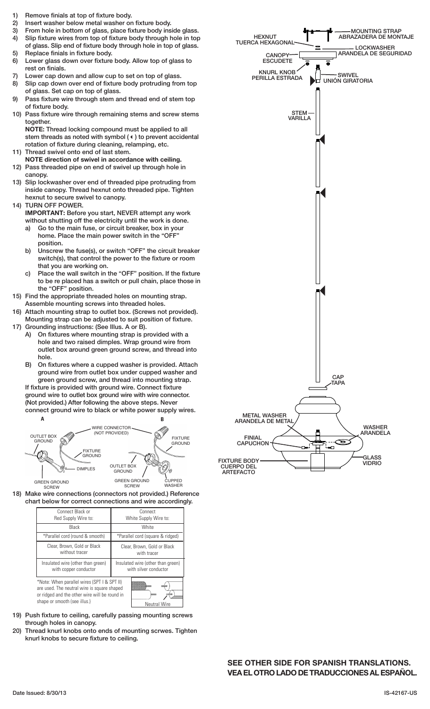- 1) Remove finials at top of fixture body.
- 2) Insert washer below metal washer on fixture body.
- 3) From hole in bottom of glass, place fixture body inside glass.
- 4) Slip fixture wires from top of fixture body through hole in top of glass. Slip end of fixture body through hole in top of glass. 5) Replace finials in fixture body.
- 6) Lower glass down over fixture body. Allow top of glass to rest on finials.
- 7) Lower cap down and allow cup to set on top of glass.
- 8) Slip cap down over end of fixture body protruding from top of glass. Set cap on top of glass.
- 9) Pass fixture wire through stem and thread end of stem top of fixture body.
- 10) Pass fixture wire through remaining stems and screw stems together.

**NOTE:** Thread locking compound must be applied to all stem threads as noted with symbol (4) to prevent accidental rotation of fixture during cleaning, relamping, etc. 11) Thread swivel onto end of last stem.

- **NOTE direction of swivel in accordance with ceiling.**
- 12) Pass threaded pipe on end of swivel up through hole in canopy.
- 13) Slip lockwasher over end of threaded pipe protruding from inside canopy. Thread hexnut onto threaded pipe. Tighten hexnut to secure swivel to canopy.
- 14) TURN OFF POWER. **IMPORTANT:** Before you start, NEVER attempt any work without shutting off the electricity until the work is done.
	- a) Go to the main fuse, or circuit breaker, box in your home. Place the main power switch in the "OFF" position.
	- b) Unscrew the fuse(s), or switch "OFF" the circuit breaker switch(s), that control the power to the fixture or room that you are working on.
	- c) Place the wall switch in the "OFF" position. If the fixture to be re placed has a switch or pull chain, place those in the "OFF" position.
- 15) Find the appropriate threaded holes on mounting strap. Assemble mounting screws into threaded holes.
- Attach mounting strap to outlet box. (Screws not provided). Mounting strap can be adjusted to suit position of fixture.
- 17) Grounding instructions: (See Illus. A or B).
	- A) On fixtures where mounting strap is provided with a hole and two raised dimples. Wrap ground wire from outlet box around green ground screw, and thread into hole.
	- B) On fixtures where a cupped washer is provided. Attach ground wire from outlet box under cupped washer and green ground screw, and thread into mounting strap. If fixture is provided with ground wire. Connect fixture ground wire to outlet box ground wire with wire connector. (Not provided.) After following the above steps. Never connect ground wire to black or white power supply wires.



18) Make wire connections (connectors not provided.) Reference chart below for correct connections and wire accordingly.

| Connect Black or                                                                                                                                                                                   | Connect                           |
|----------------------------------------------------------------------------------------------------------------------------------------------------------------------------------------------------|-----------------------------------|
| Red Supply Wire to:                                                                                                                                                                                | White Supply Wire to:             |
| Black                                                                                                                                                                                              | White                             |
| *Parallel cord (round & smooth)                                                                                                                                                                    | *Parallel cord (square & ridged)  |
| Clear, Brown, Gold or Black                                                                                                                                                                        | Clear, Brown, Gold or Black       |
| without tracer                                                                                                                                                                                     | with tracer                       |
| Insulated wire (other than green)                                                                                                                                                                  | Insulated wire (other than green) |
| with copper conductor                                                                                                                                                                              | with silver conductor             |
| *Note: When parallel wires (SPT I & SPT II)<br>are used. The neutral wire is square shaped<br>or ridged and the other wire will be round in<br>shape or smooth (see illus.)<br><b>Neutral Wire</b> |                                   |

- 19) Push fixture to ceiling, carefully passing mounting screws through holes in canopy.
- 20) Thread knurl knobs onto ends of mounting scrwes. Tighten knurl knobs to secure fixture to ceiling.



**SEE OTHER SIDE FOR SPANISH TRANSLATIONS. VEA EL OTRO LADO DE TRADUCCIONES AL ESPAÑOL.**